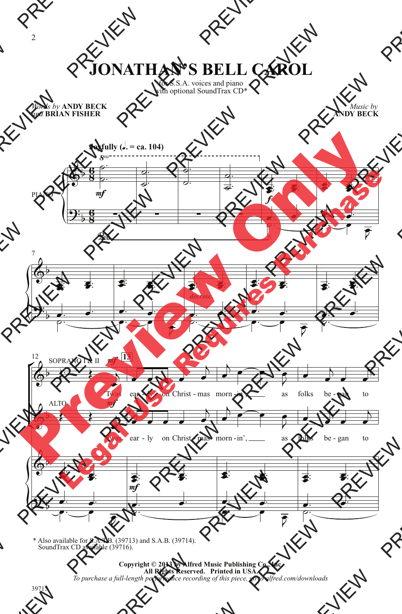## **JONATHAN'S BELL CAROL**

for S.S.A. voices and piano with optional SoundTrax CD\*

*Words by* **ANDY BECK** *and* **BRIAN FISHER**

*Music by* **ANDY BECK**



\* Also available for S.A.T.B. (39713) and S.A.B. (39714). SoundTrax CD available (39716).

> **Copyright © 2013 by Alfred Music Publishing Co., Inc. All Rights Reserved. Printed in USA.** *To purchase a full-length performance recording of this piece, go to alfred.com/downloads*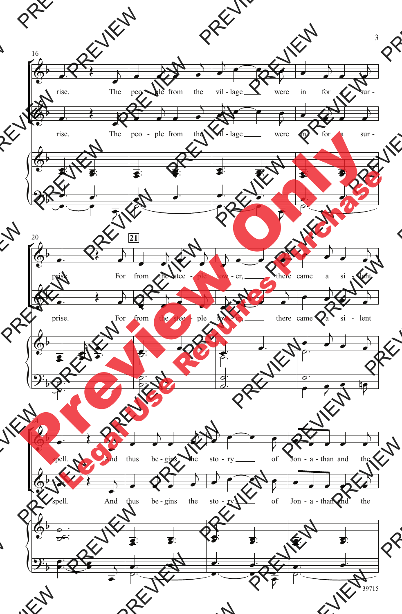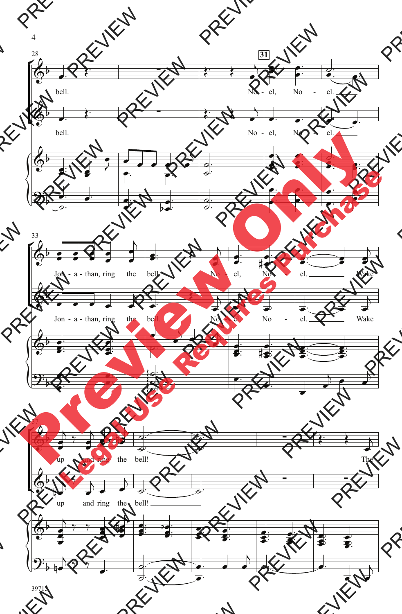

4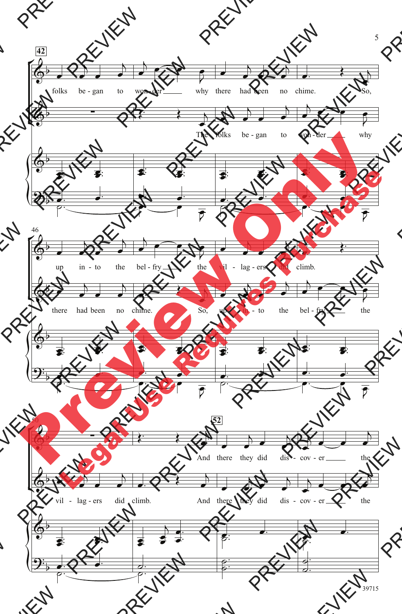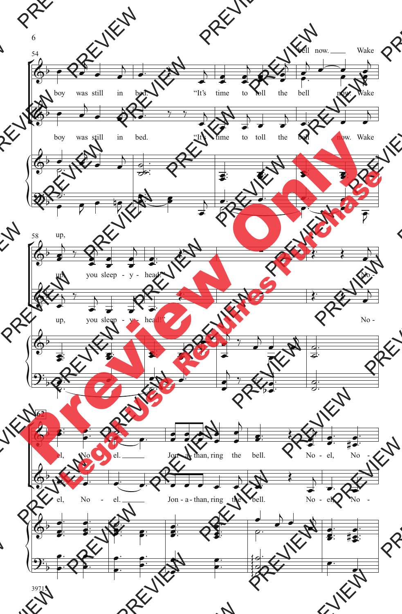

39715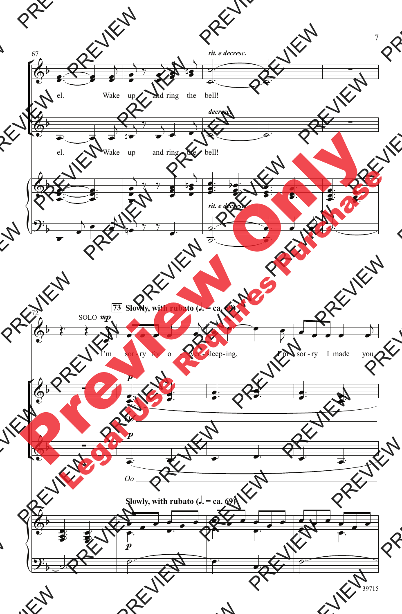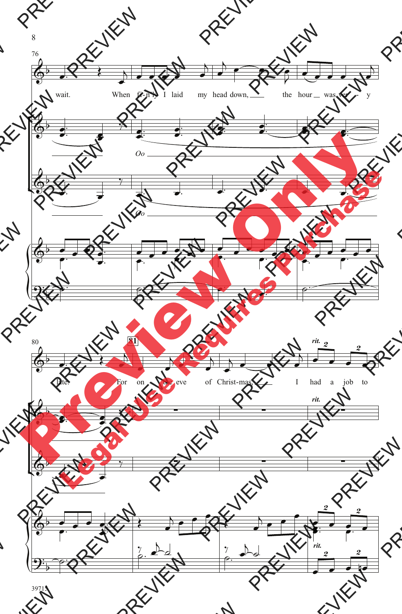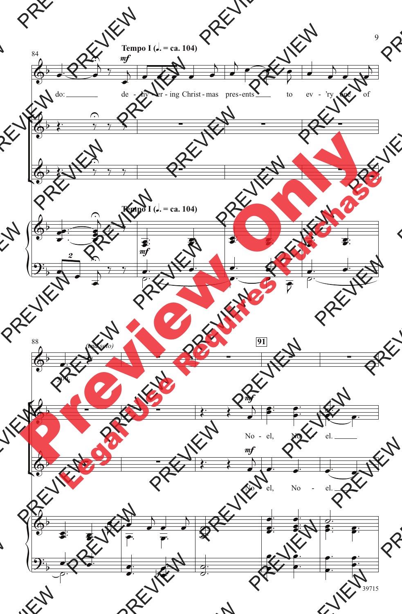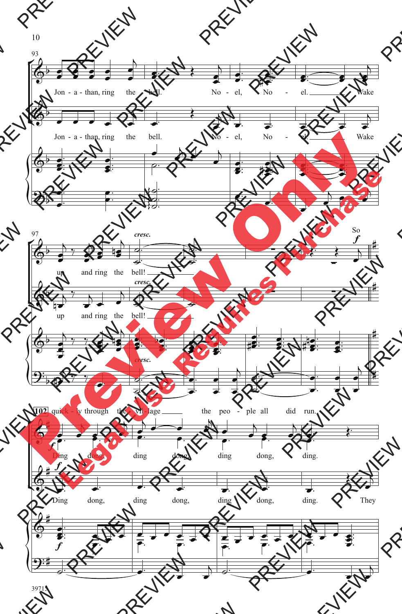

39715

10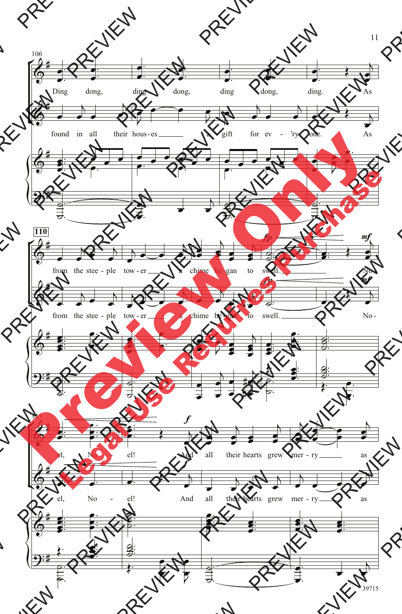